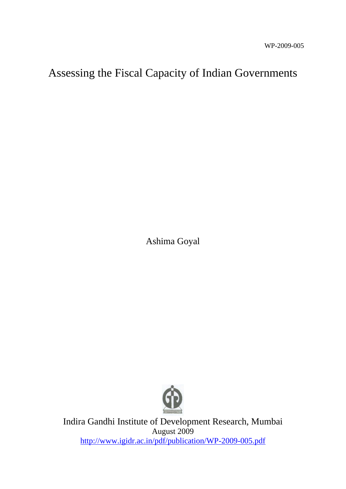# Assessing the Fiscal Capacity of Indian Governments

Ashima Goyal



Indira Gandhi Institute of Development Research, Mumbai August 2009 <http://www.igidr.ac.in/pdf/publication/WP-2009-005.pdf>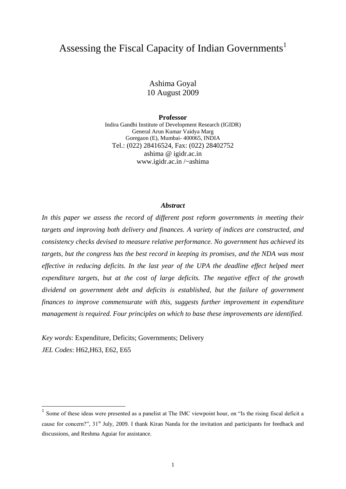## Assessing the Fiscal Capacity of Indian Governments<sup>1</sup>

Ashima Goyal 10 August 2009

**Professor**

Indira Gandhi Institute of Development Research (IGIDR) General Arun Kumar Vaidya Marg Goregaon (E), Mumbai- 400065, INDIA Tel.: (022) 28416524, Fax: (022) 28402752 ashima @ igidr.ac.in www.igidr.ac.in /~ashima

#### *Abstract*

In this paper we assess the record of different post reform governments in meeting their *targets and improving both delivery and finances. A variety of indices are constructed, and consistency checks devised to measure relative performance. No government has achieved its targets, but the congress has the best record in keeping its promises, and the NDA was most effective in reducing deficits. In the last year of the UPA the deadline effect helped meet expenditure targets, but at the cost of large deficits. The negative effect of the growth dividend on government debt and deficits is established, but the failure of government finances to improve commensurate with this, suggests further improvement in expenditure management is required. Four principles on which to base these improvements are identified.*

*Key words*: Expenditure, Deficits; Governments; Delivery *JEL Codes*: H62,H63, E62, E65

-

 $<sup>1</sup>$  Some of these ideas were presented as a panelist at The IMC viewpoint hour, on "Is the rising fiscal deficit a</sup> cause for concern?", 31<sup>st</sup> July, 2009. I thank Kiran Nanda for the invitation and participants for feedback and discussions, and Reshma Aguiar for assistance.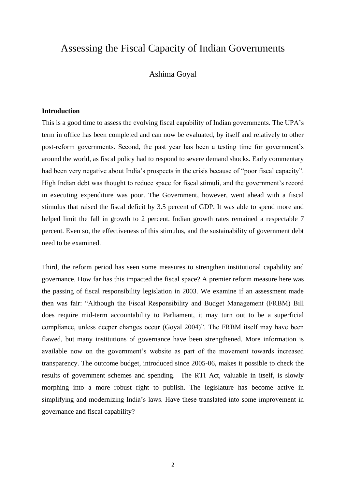### Assessing the Fiscal Capacity of Indian Governments

### Ashima Goyal

#### **Introduction**

This is a good time to assess the evolving fiscal capability of Indian governments. The UPA's term in office has been completed and can now be evaluated, by itself and relatively to other post-reform governments. Second, the past year has been a testing time for government's around the world, as fiscal policy had to respond to severe demand shocks. Early commentary had been very negative about India's prospects in the crisis because of "poor fiscal capacity". High Indian debt was thought to reduce space for fiscal stimuli, and the government's record in executing expenditure was poor. The Government, however, went ahead with a fiscal stimulus that raised the fiscal deficit by 3.5 percent of GDP. It was able to spend more and helped limit the fall in growth to 2 percent. Indian growth rates remained a respectable 7 percent. Even so, the effectiveness of this stimulus, and the sustainability of government debt need to be examined.

Third, the reform period has seen some measures to strengthen institutional capability and governance. How far has this impacted the fiscal space? A premier reform measure here was the passing of fiscal responsibility legislation in 2003. We examine if an assessment made then was fair: "Although the Fiscal Responsibility and Budget Management (FRBM) Bill does require mid-term accountability to Parliament, it may turn out to be a superficial compliance, unless deeper changes occur (Goyal 2004)". The FRBM itself may have been flawed, but many institutions of governance have been strengthened. More information is available now on the government's website as part of the movement towards increased transparency. The outcome budget, introduced since 2005-06, makes it possible to check the results of government schemes and spending. The RTI Act, valuable in itself, is slowly morphing into a more robust right to publish. The legislature has become active in simplifying and modernizing India's laws. Have these translated into some improvement in governance and fiscal capability?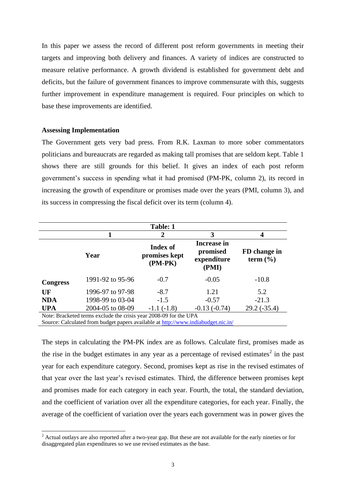In this paper we assess the record of different post reform governments in meeting their targets and improving both delivery and finances. A variety of indices are constructed to measure relative performance. A growth dividend is established for government debt and deficits, but the failure of government finances to improve commensurate with this, suggests further improvement in expenditure management is required. Four principles on which to base these improvements are identified.

#### **Assessing Implementation**

1

The Government gets very bad press. From R.K. Laxman to more sober commentators politicians and bureaucrats are regarded as making tall promises that are seldom kept. Table 1 shows there are still grounds for this belief. It gives an index of each post reform government's success in spending what it had promised (PM-PK, column 2), its record in increasing the growth of expenditure or promises made over the years (PMI, column 3), and its success in compressing the fiscal deficit over its term (column 4).

|                 |                                                                   | <b>Table: 1</b>                        |                                                 |                              |
|-----------------|-------------------------------------------------------------------|----------------------------------------|-------------------------------------------------|------------------------------|
|                 |                                                                   | 2                                      | 3                                               | 4                            |
|                 | Year                                                              | Index of<br>promises kept<br>$(PM-PK)$ | Increase in<br>promised<br>expenditure<br>(PMI) | FD change in<br>term $(\% )$ |
| <b>Congress</b> | 1991-92 to 95-96                                                  | $-0.7$                                 | $-0.05$                                         | $-10.8$                      |
| UF              | 1996-97 to 97-98                                                  | $-8.7$                                 | 1.21                                            | 5.2                          |
| <b>NDA</b>      | 1998-99 to 03-04                                                  | $-1.5$                                 | $-0.57$                                         | $-21.3$                      |
| <b>UPA</b>      | 2004-05 to 08-09                                                  | $-1.1(-1.8)$                           | $-0.13(-0.74)$                                  | $29.2(-35.4)$                |
|                 | Note: Bracketed terms exclude the crisis year 2008-09 for the UPA |                                        |                                                 |                              |

Source: Calculated from budget papers available at<http://www.indiabudget.nic.in/>

The steps in calculating the PM-PK index are as follows. Calculate first, promises made as the rise in the budget estimates in any year as a percentage of revised estimates<sup>2</sup> in the past year for each expenditure category. Second, promises kept as rise in the revised estimates of that year over the last year's revised estimates. Third, the difference between promises kept and promises made for each category in each year. Fourth, the total, the standard deviation, and the coefficient of variation over all the expenditure categories, for each year. Finally, the average of the coefficient of variation over the years each government was in power gives the

<sup>&</sup>lt;sup>2</sup> Actual outlays are also reported after a two-year gap. But these are not available for the early nineties or for disaggregated plan expenditures so we use revised estimates as the base.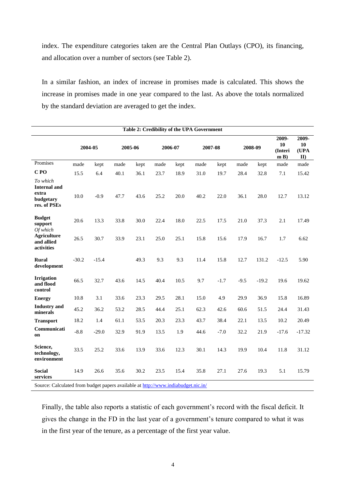index. The expenditure categories taken are the Central Plan Outlays (CPO), its financing, and allocation over a number of sectors (see Table 2).

In a similar fashion, an index of increase in promises made is calculated. This shows the increase in promises made in one year compared to the last. As above the totals normalized by the standard deviation are averaged to get the index.

|                                                                       | Table 2: Credibility of the UPA Government |         |                                                                                                                               |      |         |      |         |        |         |         |                               |                           |
|-----------------------------------------------------------------------|--------------------------------------------|---------|-------------------------------------------------------------------------------------------------------------------------------|------|---------|------|---------|--------|---------|---------|-------------------------------|---------------------------|
|                                                                       |                                            | 2004-05 | 2005-06                                                                                                                       |      | 2006-07 |      | 2007-08 |        | 2008-09 |         | 2009-<br>10<br>(Interi<br>m B | 2009-<br>10<br>(UPA<br>II |
| Promises                                                              | made                                       | kept    | made                                                                                                                          | kept | made    | kept | made    | kept   | made    | kept    | made                          | made                      |
| C <sub>PO</sub>                                                       | 15.5                                       | 6.4     | 40.1                                                                                                                          | 36.1 | 23.7    | 18.9 | 31.0    | 19.7   | 28.4    | 32.8    | 7.1                           | 15.42                     |
| To which<br><b>Internal and</b><br>extra<br>budgetary<br>res. of PSEs | 10.0                                       | $-0.9$  | 47.7                                                                                                                          | 43.6 | 25.2    | 20.0 | 40.2    | 22.0   | 36.1    | 28.0    | 12.7                          | 13.12                     |
| <b>Budget</b><br>support<br>Of which                                  | 20.6                                       | 13.3    | 33.8                                                                                                                          | 30.0 | 22.4    | 18.0 | 22.5    | 17.5   | 21.0    | 37.3    | 2.1                           | 17.49                     |
| <b>Agriculture</b><br>and allied<br>activities                        | 26.5                                       | 30.7    | 33.9                                                                                                                          | 23.1 | 25.0    | 25.1 | 15.8    | 15.6   | 17.9    | 16.7    | 1.7                           | 6.62                      |
| <b>Rural</b><br>development                                           | $-30.2$                                    | $-15.4$ |                                                                                                                               | 49.3 | 9.3     | 9.3  | 11.4    | 15.8   | 12.7    | 131.2   | $-12.5$                       | 5.90                      |
| <b>Irrigation</b><br>and flood<br>control                             | 66.5                                       | 32.7    | 43.6                                                                                                                          | 14.5 | 40.4    | 10.5 | 9.7     | $-1.7$ | $-9.5$  | $-19.2$ | 19.6                          | 19.62                     |
| <b>Energy</b>                                                         | 10.8                                       | 3.1     | 33.6                                                                                                                          | 23.3 | 29.5    | 28.1 | 15.0    | 4.9    | 29.9    | 36.9    | 15.8                          | 16.89                     |
| <b>Industry</b> and<br>minerals                                       | 45.2                                       | 36.2    | 53.2                                                                                                                          | 28.5 | 44.4    | 25.1 | 62.3    | 42.6   | 60.6    | 51.5    | 24.4                          | 31.43                     |
| <b>Transport</b>                                                      | 18.2                                       | 1.4     | 61.1                                                                                                                          | 53.5 | 20.3    | 23.3 | 43.7    | 38.4   | 22.1    | 13.5    | 10.2                          | 20.49                     |
| Communicati<br>on                                                     | $-8.8$                                     | $-29.0$ | 32.9                                                                                                                          | 91.9 | 13.5    | 1.9  | 44.6    | $-7.0$ | 32.2    | 21.9    | $-17.6$                       | $-17.32$                  |
| Science,<br>technology,<br>environment                                | 33.5                                       | 25.2    | 33.6                                                                                                                          | 13.9 | 33.6    | 12.3 | 30.1    | 14.3   | 19.9    | 10.4    | 11.8                          | 31.12                     |
| <b>Social</b><br>services<br>$\alpha$                                 | 14.9                                       | 26.6    | 35.6<br>$C_{1}$ and the different leading to see the U-H and Line $\mu_{\rm 2}$ ( $\mu_{\rm 2}$ and the direct of the $\mu$ ) | 30.2 | 23.5    | 15.4 | 35.8    | 27.1   | 27.6    | 19.3    | 5.1                           | 15.79                     |

Source: Calculated from budget papers available a[t http://www.indiabudget.nic.in/](http://www.indiabudget.nic.in/)

Finally, the table also reports a statistic of each government's record with the fiscal deficit. It gives the change in the FD in the last year of a government's tenure compared to what it was in the first year of the tenure, as a percentage of the first year value.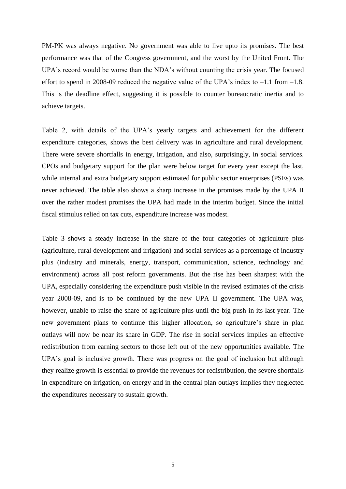PM-PK was always negative. No government was able to live upto its promises. The best performance was that of the Congress government, and the worst by the United Front. The UPA's record would be worse than the NDA's without counting the crisis year. The focused effort to spend in 2008-09 reduced the negative value of the UPA's index to  $-1.1$  from  $-1.8$ . This is the deadline effect, suggesting it is possible to counter bureaucratic inertia and to achieve targets.

Table 2, with details of the UPA's yearly targets and achievement for the different expenditure categories, shows the best delivery was in agriculture and rural development. There were severe shortfalls in energy, irrigation, and also, surprisingly, in social services. CPOs and budgetary support for the plan were below target for every year except the last, while internal and extra budgetary support estimated for public sector enterprises (PSEs) was never achieved. The table also shows a sharp increase in the promises made by the UPA II over the rather modest promises the UPA had made in the interim budget. Since the initial fiscal stimulus relied on tax cuts, expenditure increase was modest.

Table 3 shows a steady increase in the share of the four categories of agriculture plus (agriculture, rural development and irrigation) and social services as a percentage of industry plus (industry and minerals, energy, transport, communication, science, technology and environment) across all post reform governments. But the rise has been sharpest with the UPA, especially considering the expenditure push visible in the revised estimates of the crisis year 2008-09, and is to be continued by the new UPA II government. The UPA was, however, unable to raise the share of agriculture plus until the big push in its last year. The new government plans to continue this higher allocation, so agriculture's share in plan outlays will now be near its share in GDP. The rise in social services implies an effective redistribution from earning sectors to those left out of the new opportunities available. The UPA's goal is inclusive growth. There was progress on the goal of inclusion but although they realize growth is essential to provide the revenues for redistribution, the severe shortfalls in expenditure on irrigation, on energy and in the central plan outlays implies they neglected the expenditures necessary to sustain growth.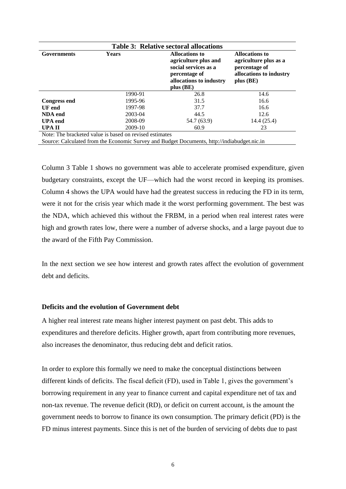| <b>Table 3: Relative sectoral allocations</b>           |              |                                                                                                                           |                                                                                                         |  |  |  |
|---------------------------------------------------------|--------------|---------------------------------------------------------------------------------------------------------------------------|---------------------------------------------------------------------------------------------------------|--|--|--|
| <b>Governments</b>                                      | <b>Years</b> | Allocations to<br>agriculture plus and<br>social services as a<br>percentage of<br>allocations to industry<br>$plus$ (BE) | <b>Allocations to</b><br>agriculture plus as a<br>percentage of<br>allocations to industry<br>plus (BE) |  |  |  |
|                                                         | 1990-91      | 26.8                                                                                                                      | 14.6                                                                                                    |  |  |  |
| <b>Congress end</b>                                     | 1995-96      | 31.5                                                                                                                      | 16.6                                                                                                    |  |  |  |
| UF end                                                  | 1997-98      | 37.7                                                                                                                      | 16.6                                                                                                    |  |  |  |
| <b>NDA</b> end                                          | 2003-04      | 44.5                                                                                                                      | 12.6                                                                                                    |  |  |  |
| <b>UPA</b> end                                          | 2008-09      | 54.7 (63.9)                                                                                                               | 14.4 (25.4)                                                                                             |  |  |  |
| UPA II                                                  | 2009-10      | 60.9                                                                                                                      | 23                                                                                                      |  |  |  |
| Note: The bracketed value is based on revised estimates |              |                                                                                                                           |                                                                                                         |  |  |  |

Source: Calculated from the Economic Survey and Budget Documents, http://indiabudget.nic.in

Column 3 Table 1 shows no government was able to accelerate promised expenditure, given budgetary constraints, except the UF—which had the worst record in keeping its promises. Column 4 shows the UPA would have had the greatest success in reducing the FD in its term, were it not for the crisis year which made it the worst performing government. The best was the NDA, which achieved this without the FRBM, in a period when real interest rates were high and growth rates low, there were a number of adverse shocks, and a large payout due to the award of the Fifth Pay Commission.

In the next section we see how interest and growth rates affect the evolution of government debt and deficits.

#### **Deficits and the evolution of Government debt**

A higher real interest rate means higher interest payment on past debt. This adds to expenditures and therefore deficits. Higher growth, apart from contributing more revenues, also increases the denominator, thus reducing debt and deficit ratios.

In order to explore this formally we need to make the conceptual distinctions between different kinds of deficits. The fiscal deficit (FD), used in Table 1, gives the government's borrowing requirement in any year to finance current and capital expenditure net of tax and non-tax revenue. The revenue deficit (RD), or deficit on current account, is the amount the government needs to borrow to finance its own consumption. The primary deficit (PD) is the FD minus interest payments. Since this is net of the burden of servicing of debts due to past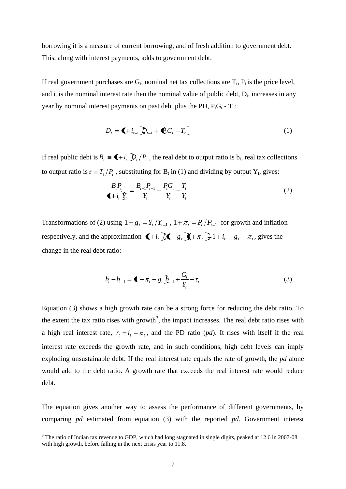borrowing it is a measure of current borrowing, and of fresh addition to government debt. This, along with interest payments, adds to government debt.

If real government purchases are  $G_t$ , nominal net tax collections are  $T_t$ ,  $P_t$  is the price level, and  $i_t$  is the nominal interest rate then the nominal value of public debt,  $D_t$ , increases in any year by nominal interest payments on past debt plus the PD,  $P_tG_t - T_t$ .

$$
D_{t} = \langle \mathbf{I} + i_{t-1} \rangle D_{t-1} + \langle \mathbf{P}_{t} G_{t} - T_{t} \rangle \tag{1}
$$

If real public debt is  $B_t = \bigoplus_i t_i$ ,  $D_t/P_t$ , the real debt to output ratio is  $b_t$ , real tax collections to output ratio is  $\tau = T_t/P_t$ , substituting for  $B_t$  in (1) and dividing by output  $Y_t$ , gives:

$$
\frac{B_{t}P_{t}}{\blacktriangleleft + i_{t}\mathcal{Y}_{t}} = \frac{B_{t-1}P_{t-1}}{Y_{t}} + \frac{P_{t}G_{t}}{Y_{t}} - \frac{T_{t}}{Y_{t}}
$$
(2)

Transformations of (2) using  $1+g_t = Y_t/Y_{t-1}$ ,  $1+\pi_t = P_t/P_{t-1}$  for growth and inflation respectively, and the approximation  $\blacktriangleright$   $\blacktriangle$  +  $i_t$   $\cancel{\perp}$   $\blacktriangle$  +  $\pi$ <sub>t</sub>  $\frac{1}{2}$  1 +  $i_t$  -  $g_t$  -  $\pi$ <sub>t</sub>, gives the change in the real debt ratio:

$$
b_{t} - b_{t-1} = \P - \pi_{t} - g_{t} \bar{b}_{t-1} + \frac{G_{t}}{Y_{t}} - \tau_{t}
$$
\n(3)

Equation (3) shows a high growth rate can be a strong force for reducing the debt ratio. To the extent the tax ratio rises with growth<sup>3</sup>, the impact increases. The real debt ratio rises with a high real interest rate,  $r_t = i_t - \pi_t$ , and the PD ratio (*pd*). It rises with itself if the real interest rate exceeds the growth rate, and in such conditions, high debt levels can imply exploding unsustainable debt. If the real interest rate equals the rate of growth, the *pd* alone would add to the debt ratio. A growth rate that exceeds the real interest rate would reduce debt.

The equation gives another way to assess the performance of different governments, by comparing *pd* estimated from equation (3) with the reported *pd*. Government interest

1

<sup>&</sup>lt;sup>3</sup> The ratio of Indian tax revenue to GDP, which had long stagnated in single digits, peaked at 12.6 in 2007-08 with high growth, before falling in the next crisis year to 11.8.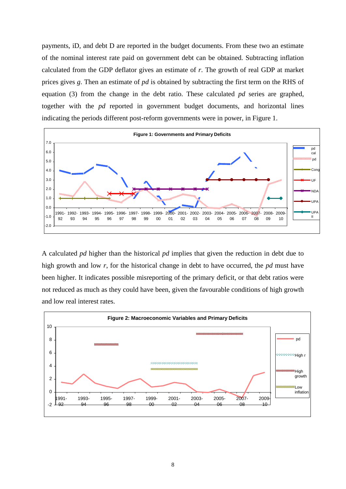payments, iD, and debt D are reported in the budget documents. From these two an estimate of the nominal interest rate paid on government debt can be obtained. Subtracting inflation calculated from the GDP deflator gives an estimate of *r*. The growth of real GDP at market prices gives *g*. Then an estimate of *pd* is obtained by subtracting the first term on the RHS of equation (3) from the change in the debt ratio. These calculated *pd* series are graphed, together with the *pd* reported in government budget documents, and horizontal lines indicating the periods different post-reform governments were in power, in Figure 1.



A calculated *pd* higher than the historical *pd* implies that given the reduction in debt due to high growth and low *r*, for the historical change in debt to have occurred, the *pd* must have been higher. It indicates possible misreporting of the primary deficit, or that debt ratios were not reduced as much as they could have been, given the favourable conditions of high growth and low real interest rates.

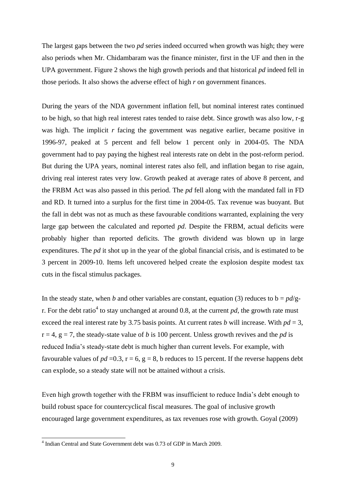The largest gaps between the two *pd* series indeed occurred when growth was high; they were also periods when Mr. Chidambaram was the finance minister, first in the UF and then in the UPA government. Figure 2 shows the high growth periods and that historical *pd* indeed fell in those periods. It also shows the adverse effect of high *r* on government finances.

During the years of the NDA government inflation fell, but nominal interest rates continued to be high, so that high real interest rates tended to raise debt. Since growth was also low, r-g was high. The implicit *r* facing the government was negative earlier, became positive in 1996-97, peaked at 5 percent and fell below 1 percent only in 2004-05. The NDA government had to pay paying the highest real interests rate on debt in the post-reform period. But during the UPA years, nominal interest rates also fell, and inflation began to rise again, driving real interest rates very low. Growth peaked at average rates of above 8 percent, and the FRBM Act was also passed in this period. The *pd* fell along with the mandated fall in FD and RD. It turned into a surplus for the first time in 2004-05. Tax revenue was buoyant. But the fall in debt was not as much as these favourable conditions warranted, explaining the very large gap between the calculated and reported *pd*. Despite the FRBM, actual deficits were probably higher than reported deficits. The growth dividend was blown up in large expenditures. The *pd* it shot up in the year of the global financial crisis, and is estimated to be 3 percent in 2009-10. Items left uncovered helped create the explosion despite modest tax cuts in the fiscal stimulus packages.

In the steady state, when *b* and other variables are constant, equation (3) reduces to  $b = pd/g$ r. For the debt ratio<sup>4</sup> to stay unchanged at around 0.8, at the current  $pd$ , the growth rate must exceed the real interest rate by 3.75 basis points. At current rates *b* will increase. With  $pd = 3$ ,  $r = 4$ ,  $g = 7$ , the steady-state value of *b* is 100 percent. Unless growth revives and the *pd* is reduced India's steady-state debt is much higher than current levels. For example, with favourable values of  $pd = 0.3$ ,  $r = 6$ ,  $g = 8$ , b reduces to 15 percent. If the reverse happens debt can explode, so a steady state will not be attained without a crisis.

Even high growth together with the FRBM was insufficient to reduce India's debt enough to build robust space for countercyclical fiscal measures. The goal of inclusive growth encouraged large government expenditures, as tax revenues rose with growth. Goyal (2009)

-

<sup>4</sup> Indian Central and State Government debt was 0.73 of GDP in March 2009.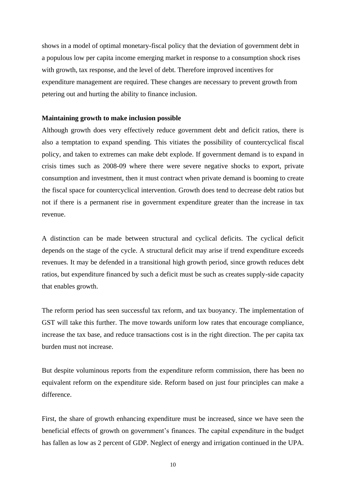shows in a model of optimal monetary-fiscal policy that the deviation of government debt in a populous low per capita income emerging market in response to a consumption shock rises with growth, tax response, and the level of debt. Therefore improved incentives for expenditure management are required. These changes are necessary to prevent growth from petering out and hurting the ability to finance inclusion.

#### **Maintaining growth to make inclusion possible**

Although growth does very effectively reduce government debt and deficit ratios, there is also a temptation to expand spending. This vitiates the possibility of countercyclical fiscal policy, and taken to extremes can make debt explode. If government demand is to expand in crisis times such as 2008-09 where there were severe negative shocks to export, private consumption and investment, then it must contract when private demand is booming to create the fiscal space for countercyclical intervention. Growth does tend to decrease debt ratios but not if there is a permanent rise in government expenditure greater than the increase in tax revenue.

A distinction can be made between structural and cyclical deficits. The cyclical deficit depends on the stage of the cycle. A structural deficit may arise if trend expenditure exceeds revenues. It may be defended in a transitional high growth period, since growth reduces debt ratios, but expenditure financed by such a deficit must be such as creates supply-side capacity that enables growth.

The reform period has seen successful tax reform, and tax buoyancy. The implementation of GST will take this further. The move towards uniform low rates that encourage compliance, increase the tax base, and reduce transactions cost is in the right direction. The per capita tax burden must not increase.

But despite voluminous reports from the expenditure reform commission, there has been no equivalent reform on the expenditure side. Reform based on just four principles can make a difference.

First, the share of growth enhancing expenditure must be increased, since we have seen the beneficial effects of growth on government's finances. The capital expenditure in the budget has fallen as low as 2 percent of GDP. Neglect of energy and irrigation continued in the UPA.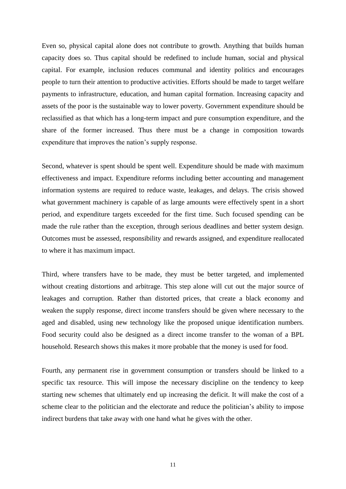Even so, physical capital alone does not contribute to growth. Anything that builds human capacity does so. Thus capital should be redefined to include human, social and physical capital. For example, inclusion reduces communal and identity politics and encourages people to turn their attention to productive activities. Efforts should be made to target welfare payments to infrastructure, education, and human capital formation. Increasing capacity and assets of the poor is the sustainable way to lower poverty. Government expenditure should be reclassified as that which has a long-term impact and pure consumption expenditure, and the share of the former increased. Thus there must be a change in composition towards expenditure that improves the nation's supply response.

Second, whatever is spent should be spent well. Expenditure should be made with maximum effectiveness and impact. Expenditure reforms including better accounting and management information systems are required to reduce waste, leakages, and delays. The crisis showed what government machinery is capable of as large amounts were effectively spent in a short period, and expenditure targets exceeded for the first time. Such focused spending can be made the rule rather than the exception, through serious deadlines and better system design. Outcomes must be assessed, responsibility and rewards assigned, and expenditure reallocated to where it has maximum impact.

Third, where transfers have to be made, they must be better targeted, and implemented without creating distortions and arbitrage. This step alone will cut out the major source of leakages and corruption. Rather than distorted prices, that create a black economy and weaken the supply response, direct income transfers should be given where necessary to the aged and disabled, using new technology like the proposed unique identification numbers. Food security could also be designed as a direct income transfer to the woman of a BPL household. Research shows this makes it more probable that the money is used for food.

Fourth, any permanent rise in government consumption or transfers should be linked to a specific tax resource. This will impose the necessary discipline on the tendency to keep starting new schemes that ultimately end up increasing the deficit. It will make the cost of a scheme clear to the politician and the electorate and reduce the politician's ability to impose indirect burdens that take away with one hand what he gives with the other.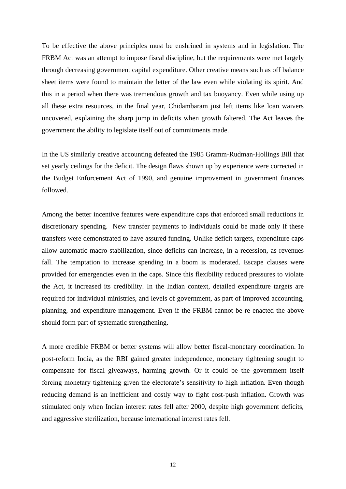To be effective the above principles must be enshrined in systems and in legislation. The FRBM Act was an attempt to impose fiscal discipline, but the requirements were met largely through decreasing government capital expenditure. Other creative means such as off balance sheet items were found to maintain the letter of the law even while violating its spirit. And this in a period when there was tremendous growth and tax buoyancy. Even while using up all these extra resources, in the final year, Chidambaram just left items like loan waivers uncovered, explaining the sharp jump in deficits when growth faltered. The Act leaves the government the ability to legislate itself out of commitments made.

In the US similarly creative accounting defeated the 1985 Gramm-Rudman-Hollings Bill that set yearly ceilings for the deficit. The design flaws shown up by experience were corrected in the Budget Enforcement Act of 1990, and genuine improvement in government finances followed.

Among the better incentive features were expenditure caps that enforced small reductions in discretionary spending. New transfer payments to individuals could be made only if these transfers were demonstrated to have assured funding. Unlike deficit targets, expenditure caps allow automatic macro-stabilization, since deficits can increase, in a recession, as revenues fall. The temptation to increase spending in a boom is moderated. Escape clauses were provided for emergencies even in the caps. Since this flexibility reduced pressures to violate the Act, it increased its credibility. In the Indian context, detailed expenditure targets are required for individual ministries, and levels of government, as part of improved accounting, planning, and expenditure management. Even if the FRBM cannot be re-enacted the above should form part of systematic strengthening.

A more credible FRBM or better systems will allow better fiscal-monetary coordination. In post-reform India, as the RBI gained greater independence, monetary tightening sought to compensate for fiscal giveaways, harming growth. Or it could be the government itself forcing monetary tightening given the electorate's sensitivity to high inflation. Even though reducing demand is an inefficient and costly way to fight cost-push inflation. Growth was stimulated only when Indian interest rates fell after 2000, despite high government deficits, and aggressive sterilization, because international interest rates fell.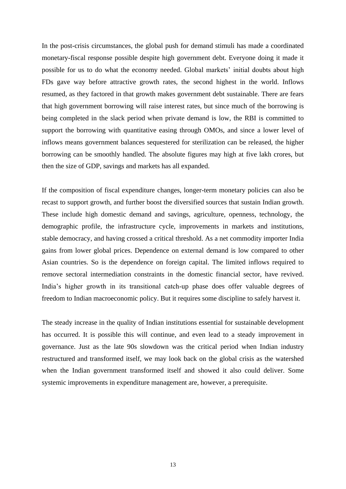In the post-crisis circumstances, the global push for demand stimuli has made a coordinated monetary-fiscal response possible despite high government debt. Everyone doing it made it possible for us to do what the economy needed. Global markets' initial doubts about high FDs gave way before attractive growth rates, the second highest in the world. Inflows resumed, as they factored in that growth makes government debt sustainable. There are fears that high government borrowing will raise interest rates, but since much of the borrowing is being completed in the slack period when private demand is low, the RBI is committed to support the borrowing with quantitative easing through OMOs, and since a lower level of inflows means government balances sequestered for sterilization can be released, the higher borrowing can be smoothly handled. The absolute figures may high at five lakh crores, but then the size of GDP, savings and markets has all expanded.

If the composition of fiscal expenditure changes, longer-term monetary policies can also be recast to support growth, and further boost the diversified sources that sustain Indian growth. These include high domestic demand and savings, agriculture, openness, technology, the demographic profile, the infrastructure cycle, improvements in markets and institutions, stable democracy, and having crossed a critical threshold. As a net commodity importer India gains from lower global prices. Dependence on external demand is low compared to other Asian countries. So is the dependence on foreign capital. The limited inflows required to remove sectoral intermediation constraints in the domestic financial sector, have revived. India's higher growth in its transitional catch-up phase does offer valuable degrees of freedom to Indian macroeconomic policy. But it requires some discipline to safely harvest it.

The steady increase in the quality of Indian institutions essential for sustainable development has occurred. It is possible this will continue, and even lead to a steady improvement in governance. Just as the late 90s slowdown was the critical period when Indian industry restructured and transformed itself, we may look back on the global crisis as the watershed when the Indian government transformed itself and showed it also could deliver. Some systemic improvements in expenditure management are, however, a prerequisite.